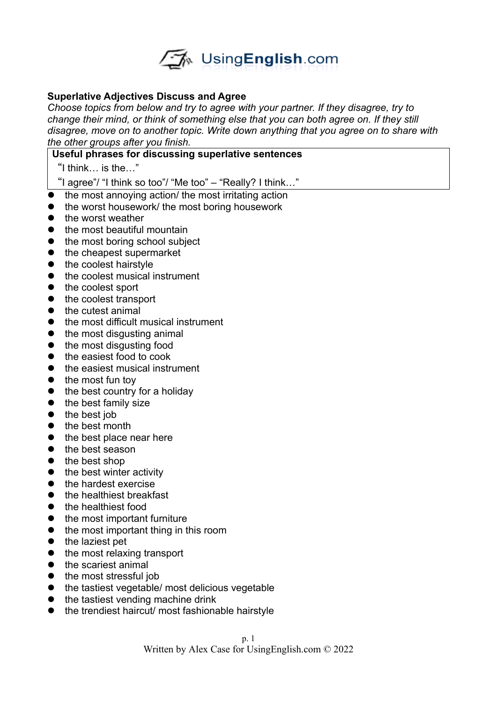

## **Superlative Adjectives Discuss and Agree**

*Choose topics from below and try to agree with your partner. If they disagree, try to change their mind, or think of something else that you can both agree on. If they still disagree, move on to another topic. Write down anything that you agree on to share with the other groups after you finish.* 

## **Useful phrases for discussing superlative sentences**

"I think… is the…"

"I agree"/ "I think so too"/ "Me too" – "Really? I think…"

- the most annoying action/ the most irritating action
- the worst housework/ the most boring housework
- $\bullet$  the worst weather
- the most beautiful mountain
- the most boring school subject
- $\bullet$  the cheapest supermarket
- the coolest hairstyle
- the coolest musical instrument
- the coolest sport
- the coolest transport
- $\bullet$  the cutest animal
- the most difficult musical instrument
- $\bullet$  the most disqusting animal
- the most disqusting food
- the easiest food to cook
- the easiest musical instrument
- $\bullet$  the most fun toy
- $\bullet$  the best country for a holiday
- the best family size
- $\bullet$  the best job
- the best month
- $\bullet$  the best place near here
- the best season
- $\bullet$  the best shop
- $\bullet$  the best winter activity
- the hardest exercise
- the healthiest breakfast
- the healthiest food
- the most important furniture
- the most important thing in this room
- $\bullet$  the laziest pet
- the most relaxing transport
- the scariest animal
- the most stressful job
- the tastiest vegetable/ most delicious vegetable
- $\bullet$  the tastiest vending machine drink
- the trendiest haircut/ most fashionable hairstyle